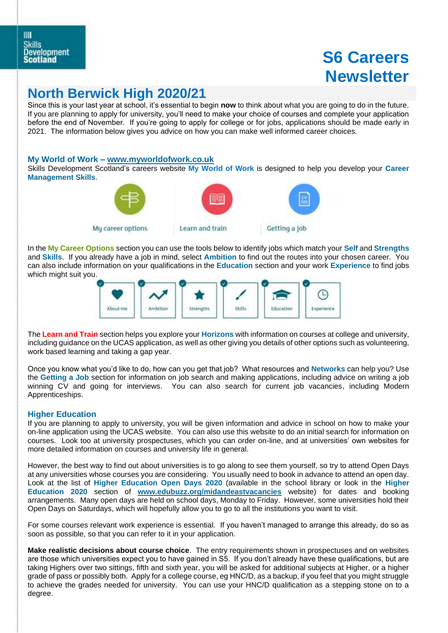# **S6 Careers Newsletter**

## **North Berwick High 2020/21**

Since this is your last year at school, it's essential to begin **now** to think about what you are going to do in the future. If you are planning to apply for university, you'll need to make your choice of courses and complete your application before the end of November. If you're going to apply for college or for jobs, applications should be made early in 2021. The information below gives you advice on how you can make well informed career choices.

#### **My World of Work – [www.myworldofwork.co.uk](http://www.myworldofwork.co.uk/)**

Skills Development Scotland's careers website **My World of Work** is designed to help you develop your **Career Management Skills**.



Mu career options



Getting a job

In the **My Career Options** section you can use the tools below to identify jobs which match your **Self** and **Strengths** and **Skills**. If you already have a job in mind, select **Ambition** to find out the routes into your chosen career. You can also include information on your qualifications in the **Education** section and your work **Experience** to find jobs which might suit you.



The **Learn and Train** section helps you explore your **Horizons** with information on courses at college and university, including guidance on the UCAS application, as well as other giving you details of other options such as volunteering, work based learning and taking a gap year.

Once you know what you'd like to do, how can you get that job? What resources and **Networks** can help you? Use the **Getting a Job** section for information on job search and making applications, including advice on writing a job winning CV and going for interviews. You can also search for current job vacancies, including Modern Apprenticeships.

#### **Higher Education**

If you are planning to apply to university, you will be given information and advice in school on how to make your on-line application using the UCAS website. You can also use this website to do an initial search for information on courses. Look too at university prospectuses, which you can order on-line, and at universities' own websites for more detailed information on courses and university life in general.

However, the best way to find out about universities is to go along to see them yourself, so try to attend Open Days at any universities whose courses you are considering. You usually need to book in advance to attend an open day. Look at the list of **Higher Education Open Days 2020** (available in the school library or look in the **Higher Education 2020** section of **[www.edubuzz.org/midandeastvacancies](http://www.edubuzz.org/midandeastvacancies)** website) for dates and booking arrangements. Many open days are held on school days, Monday to Friday. However, some universities hold their Open Days on Saturdays, which will hopefully allow you to go to all the institutions you want to visit.

For some courses relevant work experience is essential. If you haven't managed to arrange this already, do so as soon as possible, so that you can refer to it in your application.

**Make realistic decisions about course choice**. The entry requirements shown in prospectuses and on websites are those which universities expect you to have gained in S5. If you don't already have these qualifications, but are taking Highers over two sittings, fifth and sixth year, you will be asked for additional subjects at Higher, or a higher grade of pass or possibly both. Apply for a college course, eg HNC/D, as a backup, if you feel that you might struggle to achieve the grades needed for university. You can use your HNC/D qualification as a stepping stone on to a degree.